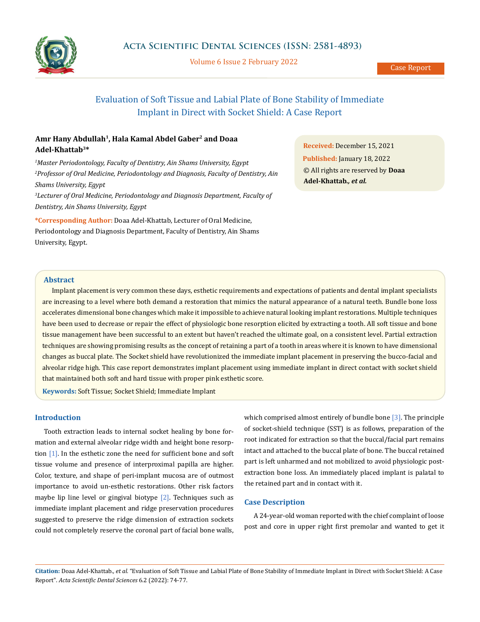

Volume 6 Issue 2 February 2022

# Evaluation of Soft Tissue and Labial Plate of Bone Stability of Immediate Implant in Direct with Socket Shield: A Case Report

## **Amr Hany Abdullah1, Hala Kamal Abdel Gaber2 and Doaa Adel-Khattab3\***

*1 Master Periodontology, Faculty of Dentistry, Ain Shams University, Egypt 2 Professor of Oral Medicine, Periodontology and Diagnosis, Faculty of Dentistry, Ain Shams University, Egypt 3 Lecturer of Oral Medicine, Periodontology and Diagnosis Department, Faculty of Dentistry, Ain Shams University, Egypt*

**\*Corresponding Author:** Doaa Adel-Khattab, Lecturer of Oral Medicine, Periodontology and Diagnosis Department, Faculty of Dentistry, Ain Shams University, Egypt.

**Received:** December 15, 2021 **Published:** January 18, 2022 © All rights are reserved by **Doaa Adel-Khattab***., et al.*

## **Abstract**

Implant placement is very common these days, esthetic requirements and expectations of patients and dental implant specialists are increasing to a level where both demand a restoration that mimics the natural appearance of a natural teeth. Bundle bone loss accelerates dimensional bone changes which make it impossible to achieve natural looking implant restorations. Multiple techniques have been used to decrease or repair the effect of physiologic bone resorption elicited by extracting a tooth. All soft tissue and bone tissue management have been successful to an extent but haven't reached the ultimate goal, on a consistent level. Partial extraction techniques are showing promising results as the concept of retaining a part of a tooth in areas where it is known to have dimensional changes as buccal plate. The Socket shield have revolutionized the immediate implant placement in preserving the bucco-facial and alveolar ridge high. This case report demonstrates implant placement using immediate implant in direct contact with socket shield that maintained both soft and hard tissue with proper pink esthetic score.

**Keywords:** Soft Tissue; Socket Shield; Immediate Implant

## **Introduction**

Tooth extraction leads to internal socket healing by bone formation and external alveolar ridge width and height bone resorption [1]. In the esthetic zone the need for sufficient bone and soft tissue volume and presence of interproximal papilla are higher. Color, texture, and shape of peri-implant mucosa are of outmost importance to avoid un-esthetic restorations. Other risk factors maybe lip line level or gingival biotype  $[2]$ . Techniques such as immediate implant placement and ridge preservation procedures suggested to preserve the ridge dimension of extraction sockets could not completely reserve the coronal part of facial bone walls, which comprised almost entirely of bundle bone [3]. The principle of socket-shield technique (SST) is as follows, preparation of the root indicated for extraction so that the buccal/facial part remains intact and attached to the buccal plate of bone. The buccal retained part is left unharmed and not mobilized to avoid physiologic postextraction bone loss. An immediately placed implant is palatal to the retained part and in contact with it.

#### **Case Description**

A 24-year-old woman reported with the chief complaint of loose post and core in upper right first premolar and wanted to get it

**Citation:** Doaa Adel-Khattab*., et al.* "Evaluation of Soft Tissue and Labial Plate of Bone Stability of Immediate Implant in Direct with Socket Shield: A Case Report". *Acta Scientific Dental Sciences* 6.2 (2022): 74-77.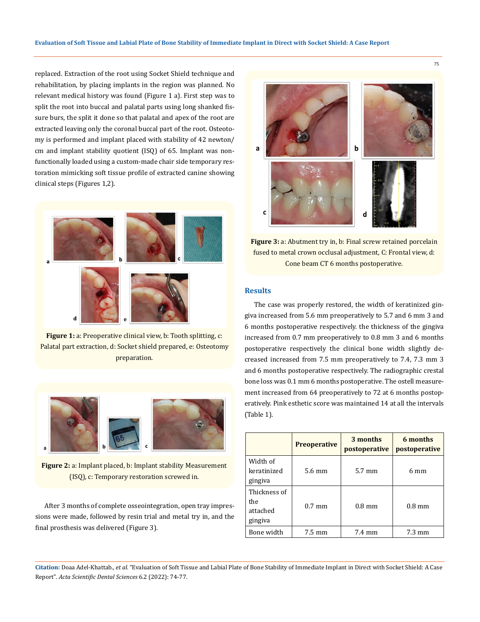replaced. Extraction of the root using Socket Shield technique and rehabilitation, by placing implants in the region was planned. No relevant medical history was found (Figure 1 a). First step was to split the root into buccal and palatal parts using long shanked fissure burs, the split it done so that palatal and apex of the root are extracted leaving only the coronal buccal part of the root. Osteotomy is performed and implant placed with stability of 42 newton/ cm and implant stability quotient (ISQ) of 65. Implant was nonfunctionally loaded using a custom-made chair side temporary restoration mimicking soft tissue profile of extracted canine showing clinical steps (Figures 1,2).



**Figure 1:** a: Preoperative clinical view, b: Tooth splitting, c: Palatal part extraction, d: Socket shield prepared, e: Osteotomy preparation.



**Figure 2:** a: Implant placed, b: Implant stability Measurement (ISQ), c: Temporary restoration screwed in.

After 3 months of complete osseointegration, open tray impressions were made, followed by resin trial and metal try in, and the final prosthesis was delivered (Figure 3).



**Figure 3:** a: Abutment try in, b: Final screw retained porcelain fused to metal crown occlusal adjustment, C: Frontal view, d: Cone beam CT 6 months postoperative.

## **Results**

The case was properly restored, the width of keratinized gingiva increased from 5.6 mm preoperatively to 5.7 and 6 mm 3 and 6 months postoperative respectively. the thickness of the gingiva increased from 0.7 mm preoperatively to 0.8 mm 3 and 6 months postoperative respectively the clinical bone width slightly decreased increased from 7.5 mm preoperatively to 7.4, 7.3 mm 3 and 6 months postoperative respectively. The radiographic crestal bone loss was 0.1 mm 6 months postoperative. The ostell measurement increased from 64 preoperatively to 72 at 6 months postoperatively. Pink esthetic score was maintained 14 at all the intervals (Table 1).

|                                            | <b>Preoperative</b> | 3 months<br>postoperative | 6 months<br>postoperative |
|--------------------------------------------|---------------------|---------------------------|---------------------------|
| Width of<br>keratinized<br>gingiya         | 5.6 mm              | $5.7 \text{ mm}$          | 6 mm                      |
| Thickness of<br>the<br>attached<br>gingiva | $0.7 \text{ mm}$    | $0.8 \text{ mm}$          | $0.8 \text{ mm}$          |
| Bone width                                 | 7.5 mm              | 7.4 mm                    | $7.3 \text{ mm}$          |

**Citation:** Doaa Adel-Khattab*., et al.* "Evaluation of Soft Tissue and Labial Plate of Bone Stability of Immediate Implant in Direct with Socket Shield: A Case Report". *Acta Scientific Dental Sciences* 6.2 (2022): 74-77.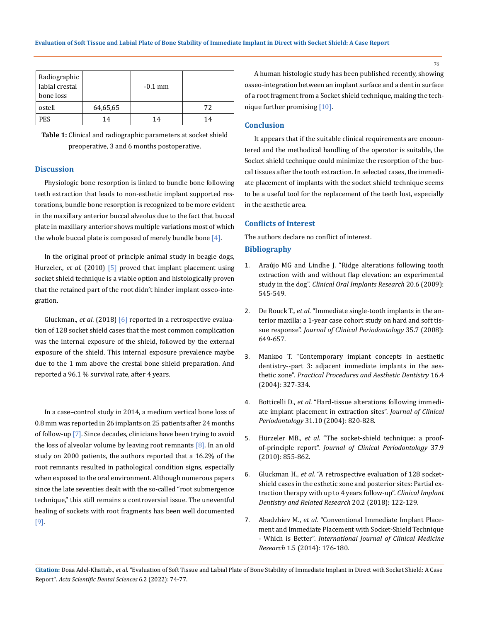| Radiographic<br>labial crestal<br>bone loss |          | $-0.1$ mm |    |
|---------------------------------------------|----------|-----------|----|
| ostell                                      | 64,65,65 |           | 72 |
| <b>PES</b>                                  | 14       | 14        | 14 |

**Table 1:** Clinical and radiographic parameters at socket shield preoperative, 3 and 6 months postoperative.

#### **Discussion**

Physiologic bone resorption is linked to bundle bone following teeth extraction that leads to non-esthetic implant supported restorations, bundle bone resorption is recognized to be more evident in the maxillary anterior buccal alveolus due to the fact that buccal plate in maxillary anterior shows multiple variations most of which the whole buccal plate is composed of merely bundle bone [4].

In the original proof of principle animal study in beagle dogs, Hurzeler., *et al*. (2010) [5] proved that implant placement using socket shield technique is a viable option and histologically proven that the retained part of the root didn't hinder implant osseo-integration.

Gluckman., *et al*. (2018) [6] reported in a retrospective evaluation of 128 socket shield cases that the most common complication was the internal exposure of the shield, followed by the external exposure of the shield. This internal exposure prevalence maybe due to the 1 mm above the crestal bone shield preparation. And reported a 96.1 % survival rate, after 4 years.

In a case–control study in 2014, a medium vertical bone loss of 0.8 mm was reported in 26 implants on 25 patients after 24 months of follow-up [7]. Since decades, clinicians have been trying to avoid the loss of alveolar volume by leaving root remnants  $[8]$ . In an old study on 2000 patients, the authors reported that a 16.2% of the root remnants resulted in pathological condition signs, especially when exposed to the oral environment. Although numerous papers since the late seventies dealt with the so-called "root submergence technique," this still remains a controversial issue. The uneventful healing of sockets with root fragments has been well documented [9].

A human histologic study has been published recently, showing osseo-integration between an implant surface and a dent in surface of a root fragment from a Socket shield technique, making the technique further promising [10].

## **Conclusion**

It appears that if the suitable clinical requirements are encountered and the methodical handling of the operator is suitable, the Socket shield technique could minimize the resorption of the buccal tissues after the tooth extraction. In selected cases, the immediate placement of implants with the socket shield technique seems to be a useful tool for the replacement of the teeth lost, especially in the aesthetic area.

#### **Conflicts of Interest**

The authors declare no conflict of interest. **Bibliography**

- 1. [Araújo MG and Lindhe J. "Ridge alterations following tooth](https://pubmed.ncbi.nlm.nih.gov/19515033/)  [extraction with and without flap elevation: an experimental](https://pubmed.ncbi.nlm.nih.gov/19515033/)  study in the dog". *[Clinical Oral Implants Research](https://pubmed.ncbi.nlm.nih.gov/19515033/)* 20.6 (2009): [545-549.](https://pubmed.ncbi.nlm.nih.gov/19515033/)
- 2. De Rouck T., *et al.* ["Immediate single-tooth implants in the an](https://pubmed.ncbi.nlm.nih.gov/18430047/)[terior maxilla: a 1-year case cohort study on hard and soft tis](https://pubmed.ncbi.nlm.nih.gov/18430047/)sue response". *[Journal of Clinical Periodontology](https://pubmed.ncbi.nlm.nih.gov/18430047/)* 35.7 (2008): [649-657.](https://pubmed.ncbi.nlm.nih.gov/18430047/)
- 3. [Mankoo T. "Contemporary implant concepts in aesthetic](https://pubmed.ncbi.nlm.nih.gov/15279242/)  [dentistry--part 3: adjacent immediate implants in the aes](https://pubmed.ncbi.nlm.nih.gov/15279242/)thetic zone". *[Practical Procedures and Aesthetic Dentistry](https://pubmed.ncbi.nlm.nih.gov/15279242/)* 16.4 [\(2004\): 327-334.](https://pubmed.ncbi.nlm.nih.gov/15279242/)
- 4. Botticelli D., *et al.* ["Hard-tissue alterations following immedi](https://pubmed.ncbi.nlm.nih.gov/15367183/)[ate implant placement in extraction sites".](https://pubmed.ncbi.nlm.nih.gov/15367183/) *Journal of Clinical Periodontology* [31.10 \(2004\): 820-828.](https://pubmed.ncbi.nlm.nih.gov/15367183/)
- 5. Hürzeler MB., *et al.* ["The socket-shield technique: a proof](https://pubmed.ncbi.nlm.nih.gov/20712701/)of-principle report". *[Journal of Clinical Periodontology](https://pubmed.ncbi.nlm.nih.gov/20712701/)* 37.9 [\(2010\): 855-862.](https://pubmed.ncbi.nlm.nih.gov/20712701/)
- 6. Gluckman H., *et al.* ["A retrospective evaluation of 128 socket](https://pubmed.ncbi.nlm.nih.gov/29178381/)[shield cases in the esthetic zone and posterior sites: Partial ex](https://pubmed.ncbi.nlm.nih.gov/29178381/)[traction therapy with up to 4 years follow-up".](https://pubmed.ncbi.nlm.nih.gov/29178381/) *Clinical Implant [Dentistry and Related Research](https://pubmed.ncbi.nlm.nih.gov/29178381/)* 20.2 (2018): 122-129.
- 7. Abadzhiev M., *et al.* ["Conventional Immediate Implant Place](http://fulviofrisone.com/attachments/article/546/9060758.pdf)[ment and Immediate Placement with Socket-Shield Technique](http://fulviofrisone.com/attachments/article/546/9060758.pdf)  - Which is Better". *[International Journal of Clinical Medicine](http://fulviofrisone.com/attachments/article/546/9060758.pdf)  Research* [1.5 \(2014\): 176-180.](http://fulviofrisone.com/attachments/article/546/9060758.pdf)

76